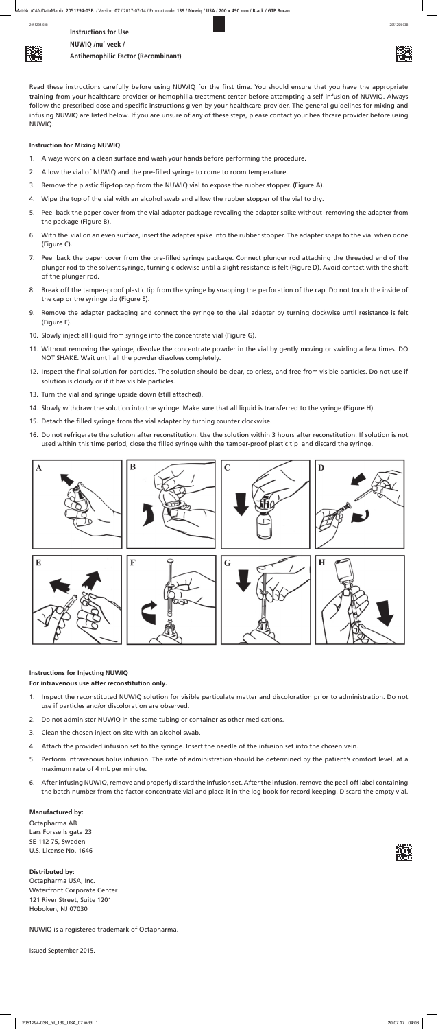**Instructions for Use NUWIQ /nu' veek / Antihemophilic Factor (Recombinant)**



Read these instructions carefully before using NUWIQ for the first time. You should ensure that you have the appropriate training from your healthcare provider or hemophilia treatment center before attempting a self-infusion of NUWIQ. Always follow the prescribed dose and specific instructions given by your healthcare provider. The general guidelines for mixing and infusing NUWIQ are listed below. If you are unsure of any of these steps, please contact your healthcare provider before using NUWIQ.

# **Instruction for Mixing NUWIQ**

- 1. Always work on a clean surface and wash your hands before performing the procedure.
- 2. Allow the vial of NUWIQ and the pre-filled syringe to come to room temperature.
- 3. Remove the plastic flip-top cap from the NUWIQ vial to expose the rubber stopper. (Figure A).
- 4. Wipe the top of the vial with an alcohol swab and allow the rubber stopper of the vial to dry.
- 5. Peel back the paper cover from the vial adapter package revealing the adapter spike without removing the adapter from the package (Figure B).
- 6. With the vial on an even surface, insert the adapter spike into the rubber stopper. The adapter snaps to the vial when done (Figure C).
- 7. Peel back the paper cover from the pre-filled syringe package. Connect plunger rod attaching the threaded end of the plunger rod to the solvent syringe, turning clockwise until a slight resistance is felt (Figure D). Avoid contact with the shaft of the plunger rod.
- 8. Break off the tamper-proof plastic tip from the syringe by snapping the perforation of the cap. Do not touch the inside of the cap or the syringe tip (Figure E).
- 9. Remove the adapter packaging and connect the syringe to the vial adapter by turning clockwise until resistance is felt (Figure F).
- 10. Slowly inject all liquid from syringe into the concentrate vial (Figure G).
- 11. Without removing the syringe, dissolve the concentrate powder in the vial by gently moving or swirling a few times. DO NOT SHAKE. Wait until all the powder dissolves completely.
- 12. Inspect the final solution for particles. The solution should be clear, colorless, and free from visible particles. Do not use if solution is cloudy or if it has visible particles.
- 13. Turn the vial and syringe upside down (still attached).
- 14. Slowly withdraw the solution into the syringe. Make sure that all liquid is transferred to the syringe (Figure H).
- 15. Detach the filled syringe from the vial adapter by turning counter clockwise.
- 16. Do not refrigerate the solution after reconstitution. Use the solution within 3 hours after reconstitution. If solution is not used within this time period, close the filled syringe with the tamper-proof plastic tip and discard the syringe.



## **Instructions for Injecting NUWIQ**

## **For intravenous use after reconstitution only.**

- 1. Inspect the reconstituted NUWIQ solution for visible particulate matter and discoloration prior to administration. Do not use if particles and/or discoloration are observed.
- 2. Do not administer NUWIQ in the same tubing or container as other medications.
- 3. Clean the chosen injection site with an alcohol swab.
- 4. Attach the provided infusion set to the syringe. Insert the needle of the infusion set into the chosen vein.
- 5. Perform intravenous bolus infusion. The rate of administration should be determined by the patient's comfort level, at a maximum rate of 4 mL per minute.
- 6. After infusing NUWIQ, remove and properly discard the infusion set. After the infusion, remove the peel-off label containing the batch number from the factor concentrate vial and place it in the log book for record keeping. Discard the empty vial.

#### **Manufactured by:**

Octapharma AB Lars Forssells gata 23 SE-112 75, Sweden U.S. License No. 1646

### **Distributed by:**

Octapharma USA, Inc. Waterfront Corporate Center 121 River Street, Suite 1201 Hoboken, NJ 07030

NUWIQ is a registered trademark of Octapharma.

Issued September 2015.

2051294-03B 2051294-03B



Mat-No./CAN/DataMatrix: **2051294-03B** / Version: **07** / 2017-07-14 / Product code: **139 / Nuwiq / USA / 200 x 490 mm / Black / GTP Buran**